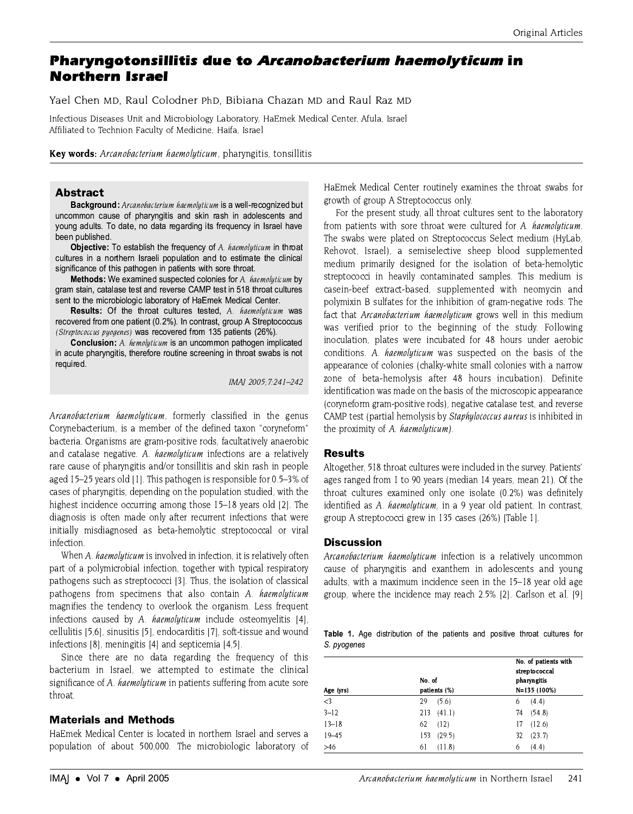# **Pharyngotonsillitis due to Arcanobacterium haemolyticum in Northern Israel**

Yael Chen MD, Raul Colodner PhD, Bibiana Chazan MD and Raul Raz MD

Infectious Diseases Unit and Microbiology Laboratory, HaEmek Medical Center, Afula, Israel Affiliated to Technion Faculty of Medicine, Haifa, Israel

Key words: Arcanobacterium haemolyticum, pharyngitis, tonsillitis

## **Abstract**

Background: Arcanobacterium haemolyticum is a well-recognized but uncommon cause of pharyngitis and skin rash in adolescents and young adults. To date, no data regarding its frequency in Israel have been published.

**Objective:** To establish the frequency of A. haemolyticum in throat cultures in a northern Israeli population and to estimate the clinical significance of this pathogen in patients with sore throat.

Methods: We examined suspected colonies for A. haemolyticum by gram stain, catalase test and reverse CAMP test in 518 throat cultures sent to the microbiologic laboratory of HaEmek Medical Center.

**Results:** Of the throat cultures tested, A. haemolyticum was recovered from one patient (0.2%). In contrast, group A Streptococcus (Streptococcus pyogenes) was recovered from 135 patients (26%).

**Conclusion:** A. hemolyticum is an uncommon pathogen implicated in acute pharyngitis, therefore routine screening in throat swabs is not required.

IMAJ 2005; 7:241-242

Arcanobacterium haemolyticum, formerly classified in the genus Corvnebacterium, is a member of the defined taxon "corvneform" bacteria. Organisms are gram-positive rods, facultatively anaerobic and catalase negative. A. haemolyticum infections are a relatively rare cause of pharyngitis and/or tonsillitis and skin rash in people aged 15-25 years old [1]. This pathogen is responsible for 0.5-3% of cases of pharyngitis, depending on the population studied, with the highest incidence occurring among those 15–18 years old [2]. The diagnosis is often made only after recurrent infections that were initially misdiagnosed as beta-hemolytic streptococcal or viral infection.

When A. haemolyticum is involved in infection, it is relatively often part of a polymicrobial infection, together with typical respiratory pathogens such as streptococci [3]. Thus, the isolation of classical pathogens from specimens that also contain A. haemolyticum magnifies the tendency to overlook the organism. Less frequent infections caused by A. haemolyticum include osteomyelitis [4], cellulitis [5,6], sinusitis [5], endocarditis [7], soft-tissue and wound infections [8], meningitis [4] and septicemia [4,5].

Since there are no data regarding the frequency of this bacterium in Israel, we attempted to estimate the clinical significance of A. haemolyticum in patients suffering from acute sore throat.

# **Materials and Methods**

HaEmek Medical Center is located in northern Israel and serves a population of about 500,000. The microbiologic laboratory of HaEmek Medical Center routinely examines the throat swabs for growth of group A Streptococcus only.

For the present study, all throat cultures sent to the laboratory from patients with sore throat were cultured for A. haemolyticum. The swabs were plated on Streptococcus Select medium (HyLab. Rehovot, Israel), a semiselective sheep blood supplemented medium primarily designed for the isolation of beta-hemolytic streptococci in heavily contaminated samples. This medium is casein-beef extract-based, supplemented with neomycin and polymixin B sulfates for the inhibition of gram-negative rods. The fact that Arcanobacterium haemolyticum grows well in this medium was verified prior to the beginning of the study. Following inoculation, plates were incubated for 48 hours under aerobic conditions. A. haemolyticum was suspected on the basis of the appearance of colonies (chalky-white small colonies with a narrow zone of beta-hemolysis after 48 hours incubation). Definite identification was made on the basis of the microscopic appearance (coryneform gram-positive rods), negative catalase test, and reverse CAMP test (partial hemolysis by Staphylococcus aureus is inhibited in the proximity of A. haemolyticum).

#### **Results**

Altogether, 518 throat cultures were included in the survey. Patients' ages ranged from 1 to 90 years (median 14 years, mean 21). Of the throat cultures examined only one isolate (0.2%) was definitely identified as A. haemolyticum, in a 9 year old patient. In contrast, group A streptococci grew in 135 cases (26%) [Table 1].

## **Discussion**

Arcanobacterium haemolyticum infection is a relatively uncommon cause of pharyngitis and exanthem in adolescents and young adults, with a maximum incidence seen in the 15-18 year old age group, where the incidence may reach 2.5% [2]. Carlson et al. [9]

|             |  | Table 1. Age distribution of the patients and positive throat cultures for |  |  |  |  |
|-------------|--|----------------------------------------------------------------------------|--|--|--|--|
| S. pyogenes |  |                                                                            |  |  |  |  |

| Age (yrs) | No. of<br>patients (%) | No. of patients with<br>streptococcal<br>pharyngitis<br>N=135 (100%) |  |  |  |
|-----------|------------------------|----------------------------------------------------------------------|--|--|--|
| $<$ 3     | (5.6)<br>29            | (4.4)<br>6                                                           |  |  |  |
| $3 - 12$  | 213<br>(41.1)          | (54.8)<br>74                                                         |  |  |  |
| $13 - 18$ | 62<br>(12)             | (12.6)<br>17                                                         |  |  |  |
| $19 - 45$ | 153<br>(29.5)          | (23.7)<br>32                                                         |  |  |  |
| $>46$     | (11.8)<br>61           | (4.4)<br>6                                                           |  |  |  |